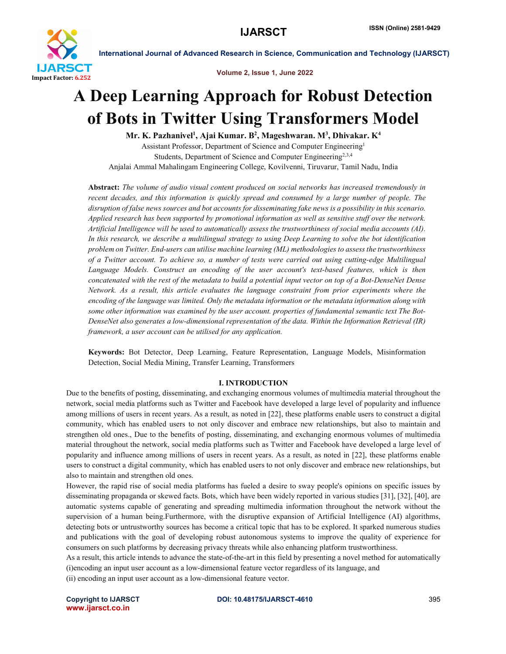

Volume 2, Issue 1, June 2022

# A Deep Learning Approach for Robust Detection of Bots in Twitter Using Transformers Model

Mr. K. Pazhanivel<sup>1</sup>, Ajai Kumar. B<sup>2</sup>, Mageshwaran. M<sup>3</sup>, Dhivakar. K<sup>4</sup>

Assistant Professor, Department of Science and Computer Engineering1 Students, Department of Science and Computer Engineering<sup>2,3,4</sup> Anjalai Ammal Mahalingam Engineering College, Kovilvenni, Tiruvarur, Tamil Nadu, India

Abstract: *The volume of audio visual content produced on social networks has increased tremendously in recent decades, and this information is quickly spread and consumed by a large number of people. The disruption of false news sources and bot accounts for disseminating fake news is a possibility in this scenario. Applied research has been supported by promotional information as well as sensitive stuff over the network. Artificial Intelligence will be used to automatically assess the trustworthiness of social media accounts (AI). In this research, we describe a multilingual strategy to using Deep Learning to solve the bot identification problem on Twitter. End-users can utilise machine learning (ML) methodologies to assess the trustworthiness of a Twitter account. To achieve so, a number of tests were carried out using cutting-edge Multilingual Language Models. Construct an encoding of the user account's text-based features, which is then concatenated with the rest of the metadata to build a potential input vector on top of a Bot-DenseNet Dense Network. As a result, this article evaluates the language constraint from prior experiments where the encoding of the language was limited. Only the metadata information or the metadata information along with some other information was examined by the user account. properties of fundamental semantic text The Bot-DenseNet also generates a low-dimensional representation of the data. Within the Information Retrieval (IR) framework, a user account can be utilised for any application.*

Keywords: Bot Detector, Deep Learning, Feature Representation, Language Models, Misinformation Detection, Social Media Mining, Transfer Learning, Transformers

#### I. INTRODUCTION

Due to the benefits of posting, disseminating, and exchanging enormous volumes of multimedia material throughout the network, social media platforms such as Twitter and Facebook have developed a large level of popularity and influence among millions of users in recent years. As a result, as noted in [22], these platforms enable users to construct a digital community, which has enabled users to not only discover and embrace new relationships, but also to maintain and strengthen old ones., Due to the benefits of posting, disseminating, and exchanging enormous volumes of multimedia material throughout the network, social media platforms such as Twitter and Facebook have developed a large level of popularity and influence among millions of users in recent years. As a result, as noted in [22], these platforms enable users to construct a digital community, which has enabled users to not only discover and embrace new relationships, but also to maintain and strengthen old ones.

However, the rapid rise of social media platforms has fueled a desire to sway people's opinions on specific issues by disseminating propaganda or skewed facts. Bots, which have been widely reported in various studies [31], [32], [40], are automatic systems capable of generating and spreading multimedia information throughout the network without the supervision of a human being.Furthermore, with the disruptive expansion of Artificial Intelligence (AI) algorithms, detecting bots or untrustworthy sources has become a critical topic that has to be explored. It sparked numerous studies and publications with the goal of developing robust autonomous systems to improve the quality of experience for consumers on such platforms by decreasing privacy threats while also enhancing platform trustworthiness.

As a result, this article intends to advance the state-of-the-art in this field by presenting a novel method for automatically (i)encoding an input user account as a low-dimensional feature vector regardless of its language, and

(ii) encoding an input user account as a low-dimensional feature vector.

www.ijarsct.co.in

Copyright to IJARSCT **DOI: 10.48175/IJARSCT-4610** 395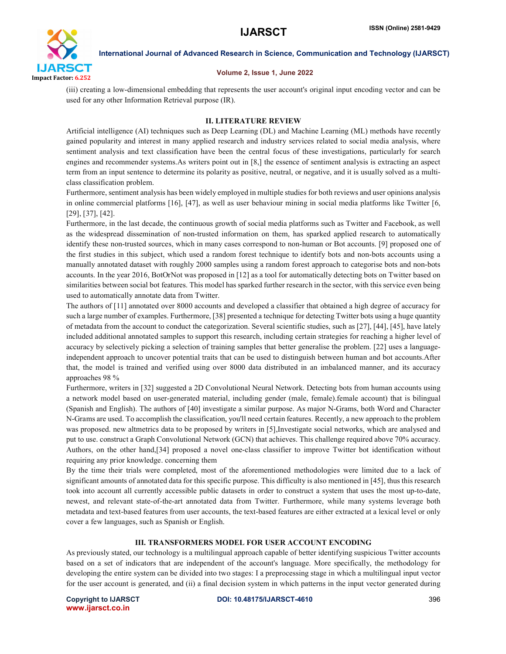

#### Volume 2, Issue 1, June 2022

(iii) creating a low-dimensional embedding that represents the user account's original input encoding vector and can be used for any other Information Retrieval purpose (IR).

### II. LITERATURE REVIEW

Artificial intelligence (AI) techniques such as Deep Learning (DL) and Machine Learning (ML) methods have recently gained popularity and interest in many applied research and industry services related to social media analysis, where sentiment analysis and text classification have been the central focus of these investigations, particularly for search engines and recommender systems.As writers point out in [8,] the essence of sentiment analysis is extracting an aspect term from an input sentence to determine its polarity as positive, neutral, or negative, and it is usually solved as a multiclass classification problem.

Furthermore, sentiment analysis has been widely employed in multiple studies for both reviews and user opinions analysis in online commercial platforms [16], [47], as well as user behaviour mining in social media platforms like Twitter [6, [29], [37], [42].

Furthermore, in the last decade, the continuous growth of social media platforms such as Twitter and Facebook, as well as the widespread dissemination of non-trusted information on them, has sparked applied research to automatically identify these non-trusted sources, which in many cases correspond to non-human or Bot accounts. [9] proposed one of the first studies in this subject, which used a random forest technique to identify bots and non-bots accounts using a manually annotated dataset with roughly 2000 samples using a random forest approach to categorise bots and non-bots accounts. In the year 2016, BotOrNot was proposed in [12] as a tool for automatically detecting bots on Twitter based on similarities between social bot features. This model has sparked further research in the sector, with this service even being used to automatically annotate data from Twitter.

The authors of [11] annotated over 8000 accounts and developed a classifier that obtained a high degree of accuracy for such a large number of examples. Furthermore, [38] presented a technique for detecting Twitter bots using a huge quantity of metadata from the account to conduct the categorization. Several scientific studies, such as [27], [44], [45], have lately included additional annotated samples to support this research, including certain strategies for reaching a higher level of accuracy by selectively picking a selection of training samples that better generalise the problem. [22] uses a languageindependent approach to uncover potential traits that can be used to distinguish between human and bot accounts.After that, the model is trained and verified using over 8000 data distributed in an imbalanced manner, and its accuracy approaches 98 %

Furthermore, writers in [32] suggested a 2D Convolutional Neural Network. Detecting bots from human accounts using a network model based on user-generated material, including gender (male, female).female account) that is bilingual (Spanish and English). The authors of [40] investigate a similar purpose. As major N-Grams, both Word and Character N-Grams are used. To accomplish the classification, you'll need certain features. Recently, a new approach to the problem was proposed. new altmetrics data to be proposed by writers in [5], Investigate social networks, which are analysed and put to use. construct a Graph Convolutional Network (GCN) that achieves. This challenge required above 70% accuracy. Authors, on the other hand,[34] proposed a novel one-class classifier to improve Twitter bot identification without requiring any prior knowledge. concerning them

By the time their trials were completed, most of the aforementioned methodologies were limited due to a lack of significant amounts of annotated data for this specific purpose. This difficulty is also mentioned in [45], thus this research took into account all currently accessible public datasets in order to construct a system that uses the most up-to-date, newest, and relevant state-of-the-art annotated data from Twitter. Furthermore, while many systems leverage both metadata and text-based features from user accounts, the text-based features are either extracted at a lexical level or only cover a few languages, such as Spanish or English.

### III. TRANSFORMERS MODEL FOR USER ACCOUNT ENCODING

As previously stated, our technology is a multilingual approach capable of better identifying suspicious Twitter accounts based on a set of indicators that are independent of the account's language. More specifically, the methodology for developing the entire system can be divided into two stages: I a preprocessing stage in which a multilingual input vector for the user account is generated, and (ii) a final decision system in which patterns in the input vector generated during

www.ijarsct.co.in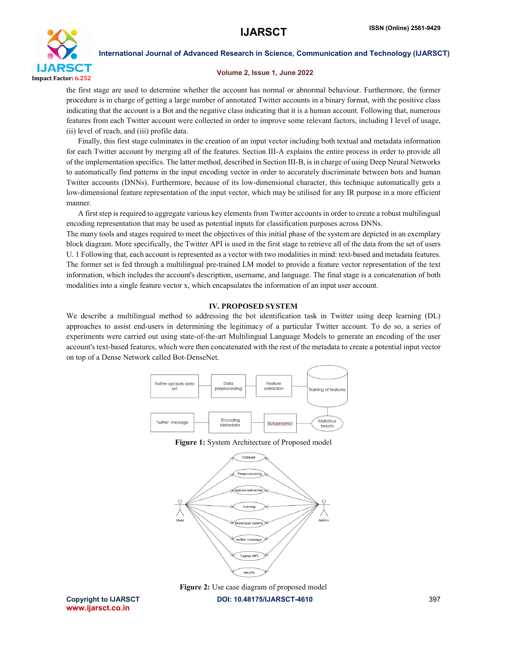

#### Volume 2, Issue 1, June 2022

the first stage are used to determine whether the account has normal or abnormal behaviour. Furthermore, the former procedure is in charge of getting a large number of annotated Twitter accounts in a binary format, with the positive class indicating that the account is a Bot and the negative class indicating that it is a human account. Following that, numerous features from each Twitter account were collected in order to improve some relevant factors, including I level of usage, (ii) level of reach, and (iii) profile data.

 Finally, this first stage culminates in the creation of an input vector including both textual and metadata information for each Twitter account by merging all of the features. Section III-A explains the entire process in order to provide all of the implementation specifics. The latter method, described in Section III-B, is in charge of using Deep Neural Networks to automatically find patterns in the input encoding vector in order to accurately discriminate between bots and human Twitter accounts (DNNs). Furthermore, because of its low-dimensional character, this technique automatically gets a low-dimensional feature representation of the input vector, which may be utilised for any IR purpose in a more efficient manner.

 A first step is required to aggregate various key elements from Twitter accounts in order to create a robust multilingual encoding representation that may be used as potential inputs for classification purposes across DNNs.

The many tools and stages required to meet the objectives of this initial phase of the system are depicted in an exemplary block diagram. More specifically, the Twitter API is used in the first stage to retrieve all of the data from the set of users U. 1 Following that, each account is represented as a vector with two modalities in mind: text-based and metadata features. The former set is fed through a multilingual pre-trained LM model to provide a feature vector representation of the text information, which includes the account's description, username, and language. The final stage is a concatenation of both modalities into a single feature vector x, which encapsulates the information of an input user account.

### IV. PROPOSED SYSTEM

We describe a multilingual method to addressing the bot identification task in Twitter using deep learning (DL) approaches to assist end-users in determining the legitimacy of a particular Twitter account. To do so, a series of experiments were carried out using state-of-the-art Multilingual Language Models to generate an encoding of the user account's text-based features, which were then concatenated with the rest of the metadata to create a potential input vector on top of a Dense Network called Bot-DenseNet.



#### Figure 1: System Architecture of Proposed model





Copyright to IJARSCT **DOI: 10.48175/IJARSCT-4610** 397 www.ijarsct.co.in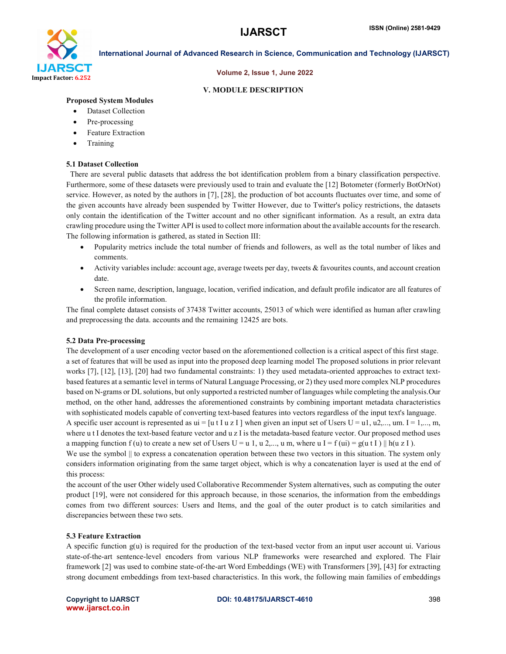

#### Volume 2, Issue 1, June 2022

#### V. MODULE DESCRIPTION

#### Proposed System Modules

- Dataset Collection
- Pre-processing
- Feature Extraction
- Training

#### 5.1 Dataset Collection

 There are several public datasets that address the bot identification problem from a binary classification perspective. Furthermore, some of these datasets were previously used to train and evaluate the [12] Botometer (formerly BotOrNot) service. However, as noted by the authors in [7], [28], the production of bot accounts fluctuates over time, and some of the given accounts have already been suspended by Twitter However, due to Twitter's policy restrictions, the datasets only contain the identification of the Twitter account and no other significant information. As a result, an extra data crawling procedure using the Twitter API is used to collect more information about the available accounts for the research. The following information is gathered, as stated in Section III:

- Popularity metrics include the total number of friends and followers, as well as the total number of likes and comments.
- Activity variables include: account age, average tweets per day, tweets & favourites counts, and account creation date.
- Screen name, description, language, location, verified indication, and default profile indicator are all features of the profile information.

The final complete dataset consists of 37438 Twitter accounts, 25013 of which were identified as human after crawling and preprocessing the data. accounts and the remaining 12425 are bots.

#### 5.2 Data Pre-processing

The development of a user encoding vector based on the aforementioned collection is a critical aspect of this first stage. a set of features that will be used as input into the proposed deep learning model The proposed solutions in prior relevant works [7], [12], [13], [20] had two fundamental constraints: 1) they used metadata-oriented approaches to extract textbased features at a semantic level in terms of Natural Language Processing, or 2) they used more complex NLP procedures based on N-grams or DL solutions, but only supported a restricted number of languages while completing the analysis.Our method, on the other hand, addresses the aforementioned constraints by combining important metadata characteristics with sophisticated models capable of converting text-based features into vectors regardless of the input text's language.

A specific user account is represented as  $ui = [u \tImes 1]$  when given an input set of Users U = u1, u2,..., um. I = 1,..., m, where u t I denotes the text-based feature vector and u z I is the metadata-based feature vector. Our proposed method uses a mapping function f (u) to create a new set of Users U = u 1, u 2,..., u m, where u I = f (ui) = g(u t I)  $\|$  h(u z I).

We use the symbol  $\parallel$  to express a concatenation operation between these two vectors in this situation. The system only considers information originating from the same target object, which is why a concatenation layer is used at the end of this process:

the account of the user Other widely used Collaborative Recommender System alternatives, such as computing the outer product [19], were not considered for this approach because, in those scenarios, the information from the embeddings comes from two different sources: Users and Items, and the goal of the outer product is to catch similarities and discrepancies between these two sets.

#### 5.3 Feature Extraction

A specific function  $g(u)$  is required for the production of the text-based vector from an input user account ui. Various state-of-the-art sentence-level encoders from various NLP frameworks were researched and explored. The Flair framework [2] was used to combine state-of-the-art Word Embeddings (WE) with Transformers [39], [43] for extracting strong document embeddings from text-based characteristics. In this work, the following main families of embeddings

www.ijarsct.co.in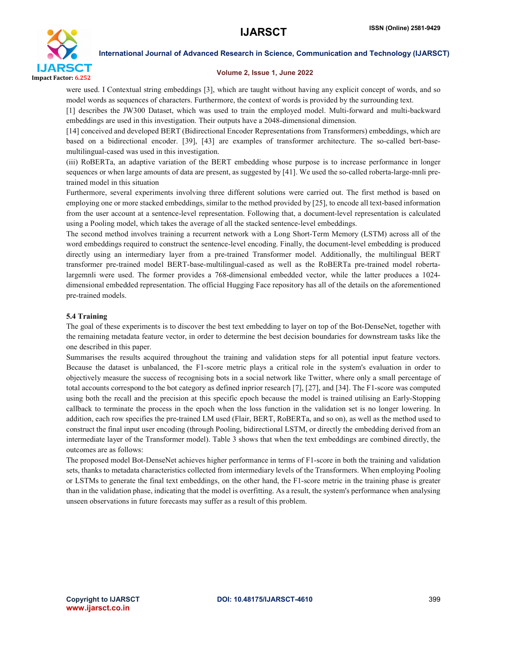

#### Volume 2, Issue 1, June 2022

were used. I Contextual string embeddings [3], which are taught without having any explicit concept of words, and so model words as sequences of characters. Furthermore, the context of words is provided by the surrounding text.

[1] describes the JW300 Dataset, which was used to train the employed model. Multi-forward and multi-backward embeddings are used in this investigation. Their outputs have a 2048-dimensional dimension.

[14] conceived and developed BERT (Bidirectional Encoder Representations from Transformers) embeddings, which are based on a bidirectional encoder. [39], [43] are examples of transformer architecture. The so-called bert-basemultilingual-cased was used in this investigation.

(iii) RoBERTa, an adaptive variation of the BERT embedding whose purpose is to increase performance in longer sequences or when large amounts of data are present, as suggested by [41]. We used the so-called roberta-large-mnli pretrained model in this situation

Furthermore, several experiments involving three different solutions were carried out. The first method is based on employing one or more stacked embeddings, similar to the method provided by [25], to encode all text-based information from the user account at a sentence-level representation. Following that, a document-level representation is calculated using a Pooling model, which takes the average of all the stacked sentence-level embeddings.

The second method involves training a recurrent network with a Long Short-Term Memory (LSTM) across all of the word embeddings required to construct the sentence-level encoding. Finally, the document-level embedding is produced directly using an intermediary layer from a pre-trained Transformer model. Additionally, the multilingual BERT transformer pre-trained model BERT-base-multilingual-cased as well as the RoBERTa pre-trained model robertalargemnli were used. The former provides a 768-dimensional embedded vector, while the latter produces a 1024 dimensional embedded representation. The official Hugging Face repository has all of the details on the aforementioned pre-trained models.

#### 5.4 Training

The goal of these experiments is to discover the best text embedding to layer on top of the Bot-DenseNet, together with the remaining metadata feature vector, in order to determine the best decision boundaries for downstream tasks like the one described in this paper.

Summarises the results acquired throughout the training and validation steps for all potential input feature vectors. Because the dataset is unbalanced, the F1-score metric plays a critical role in the system's evaluation in order to objectively measure the success of recognising bots in a social network like Twitter, where only a small percentage of total accounts correspond to the bot category as defined inprior research [7], [27], and [34]. The F1-score was computed using both the recall and the precision at this specific epoch because the model is trained utilising an Early-Stopping callback to terminate the process in the epoch when the loss function in the validation set is no longer lowering. In addition, each row specifies the pre-trained LM used (Flair, BERT, RoBERTa, and so on), as well as the method used to construct the final input user encoding (through Pooling, bidirectional LSTM, or directly the embedding derived from an intermediate layer of the Transformer model). Table 3 shows that when the text embeddings are combined directly, the outcomes are as follows:

The proposed model Bot-DenseNet achieves higher performance in terms of F1-score in both the training and validation sets, thanks to metadata characteristics collected from intermediary levels of the Transformers. When employing Pooling or LSTMs to generate the final text embeddings, on the other hand, the F1-score metric in the training phase is greater than in the validation phase, indicating that the model is overfitting. As a result, the system's performance when analysing unseen observations in future forecasts may suffer as a result of this problem.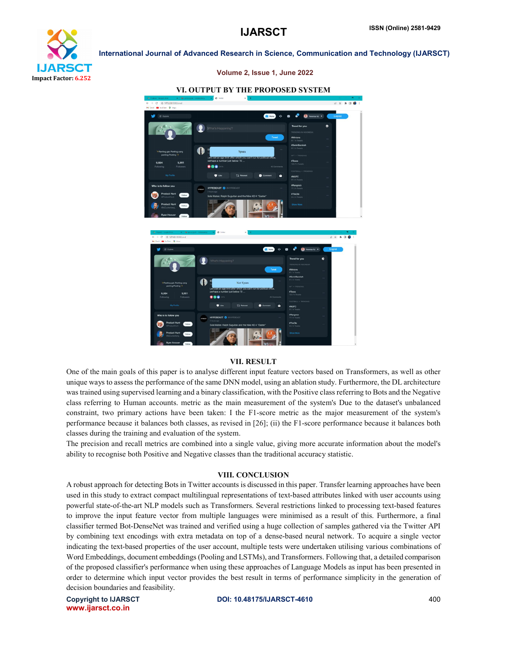



## VI. OUTPUT BY THE PROPOSED SYSTEM

Volume 2, Issue 1, June 2022

#### VII. RESULT

One of the main goals of this paper is to analyse different input feature vectors based on Transformers, as well as other unique ways to assess the performance of the same DNN model, using an ablation study. Furthermore, the DL architecture was trained using supervised learning and a binary classification, with the Positive class referring to Bots and the Negative class referring to Human accounts. metric as the main measurement of the system's Due to the dataset's unbalanced constraint, two primary actions have been taken: I the F1-score metric as the major measurement of the system's performance because it balances both classes, as revised in [26]; (ii) the F1-score performance because it balances both classes during the training and evaluation of the system.

The precision and recall metrics are combined into a single value, giving more accurate information about the model's ability to recognise both Positive and Negative classes than the traditional accuracy statistic.

#### VIII. CONCLUSION

A robust approach for detecting Bots in Twitter accounts is discussed in this paper. Transfer learning approaches have been used in this study to extract compact multilingual representations of text-based attributes linked with user accounts using powerful state-of-the-art NLP models such as Transformers. Several restrictions linked to processing text-based features to improve the input feature vector from multiple languages were minimised as a result of this. Furthermore, a final classifier termed Bot-DenseNet was trained and verified using a huge collection of samples gathered via the Twitter API by combining text encodings with extra metadata on top of a dense-based neural network. To acquire a single vector indicating the text-based properties of the user account, multiple tests were undertaken utilising various combinations of Word Embeddings, document embeddings (Pooling and LSTMs), and Transformers. Following that, a detailed comparison of the proposed classifier's performance when using these approaches of Language Models as input has been presented in order to determine which input vector provides the best result in terms of performance simplicity in the generation of decision boundaries and feasibility.

www.ijarsct.co.in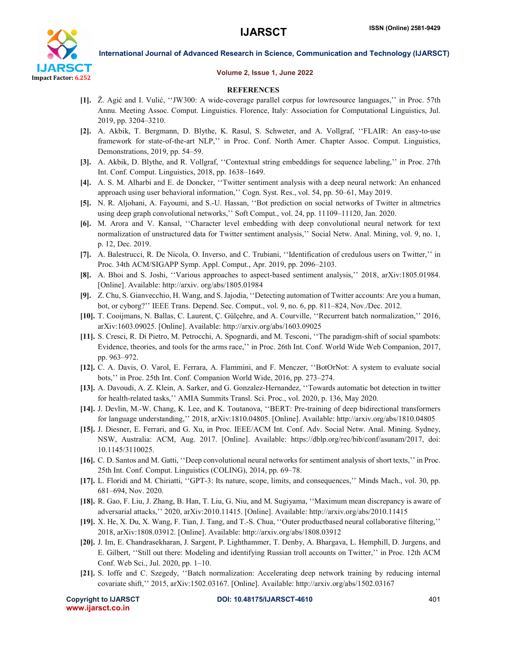

#### Volume 2, Issue 1, June 2022

#### **REFERENCES**

- [1]. Ž. Agić and I. Vulić, ''JW300: A wide-coverage parallel corpus for lowresource languages,'' in Proc. 57th Annu. Meeting Assoc. Comput. Linguistics. Florence, Italy: Association for Computational Linguistics, Jul. 2019, pp. 3204–3210.
- [2]. A. Akbik, T. Bergmann, D. Blythe, K. Rasul, S. Schweter, and A. Vollgraf, ''FLAIR: An easy-to-use framework for state-of-the-art NLP,'' in Proc. Conf. North Amer. Chapter Assoc. Comput. Linguistics, Demonstrations, 2019, pp. 54–59.
- [3]. A. Akbik, D. Blythe, and R. Vollgraf, ''Contextual string embeddings for sequence labeling,'' in Proc. 27th Int. Conf. Comput. Linguistics, 2018, pp. 1638–1649.
- [4]. A. S. M. Alharbi and E. de Doncker, ''Twitter sentiment analysis with a deep neural network: An enhanced approach using user behavioral information,'' Cogn. Syst. Res., vol. 54, pp. 50–61, May 2019.
- [5]. N. R. Aljohani, A. Fayoumi, and S.-U. Hassan, ''Bot prediction on social networks of Twitter in altmetrics using deep graph convolutional networks,'' Soft Comput., vol. 24, pp. 11109–11120, Jan. 2020.
- [6]. M. Arora and V. Kansal, ''Character level embedding with deep convolutional neural network for text normalization of unstructured data for Twitter sentiment analysis,'' Social Netw. Anal. Mining, vol. 9, no. 1, p. 12, Dec. 2019.
- [7]. A. Balestrucci, R. De Nicola, O. Inverso, and C. Trubiani, ''Identification of credulous users on Twitter,'' in Proc. 34th ACM/SIGAPP Symp. Appl. Comput., Apr. 2019, pp. 2096–2103.
- [8]. A. Bhoi and S. Joshi, ''Various approaches to aspect-based sentiment analysis,'' 2018, arXiv:1805.01984. [Online]. Available: http://arxiv. org/abs/1805.01984
- [9]. Z. Chu, S. Gianvecchio, H. Wang, and S. Jajodia, ''Detecting automation of Twitter accounts: Are you a human, bot, or cyborg?'' IEEE Trans. Depend. Sec. Comput., vol. 9, no. 6, pp. 811–824, Nov./Dec. 2012.
- [10]. T. Cooijmans, N. Ballas, C. Laurent, Ç. Gülçehre, and A. Courville, ''Recurrent batch normalization,'' 2016, arXiv:1603.09025. [Online]. Available: http://arxiv.org/abs/1603.09025
- [11]. S. Cresci, R. Di Pietro, M. Petrocchi, A. Spognardi, and M. Tesconi, ''The paradigm-shift of social spambots: Evidence, theories, and tools for the arms race,'' in Proc. 26th Int. Conf. World Wide Web Companion, 2017, pp. 963–972.
- [12]. C. A. Davis, O. Varol, E. Ferrara, A. Flammini, and F. Menczer, ''BotOrNot: A system to evaluate social bots,'' in Proc. 25th Int. Conf. Companion World Wide, 2016, pp. 273–274.
- [13]. A. Davoudi, A. Z. Klein, A. Sarker, and G. Gonzalez-Hernandez, ''Towards automatic bot detection in twitter for health-related tasks,'' AMIA Summits Transl. Sci. Proc., vol. 2020, p. 136, May 2020.
- [14]. J. Devlin, M.-W. Chang, K. Lee, and K. Toutanova, ''BERT: Pre-training of deep bidirectional transformers for language understanding,'' 2018, arXiv:1810.04805. [Online]. Available: http://arxiv.org/abs/1810.04805
- [15]. J. Diesner, E. Ferrari, and G. Xu, in Proc. IEEE/ACM Int. Conf. Adv. Social Netw. Anal. Mining. Sydney, NSW, Australia: ACM, Aug. 2017. [Online]. Available: https://dblp.org/rec/bib/conf/asunam/2017, doi: 10.1145/3110025.
- [16]. C. D. Santos and M. Gatti, ''Deep convolutional neural networks for sentiment analysis of short texts,'' in Proc. 25th Int. Conf. Comput. Linguistics (COLING), 2014, pp. 69–78.
- [17]. L. Floridi and M. Chiriatti, ''GPT-3: Its nature, scope, limits, and consequences,'' Minds Mach., vol. 30, pp. 681–694, Nov. 2020.
- [18]. R. Gao, F. Liu, J. Zhang, B. Han, T. Liu, G. Niu, and M. Sugiyama, ''Maximum mean discrepancy is aware of adversarial attacks,'' 2020, arXiv:2010.11415. [Online]. Available: http://arxiv.org/abs/2010.11415
- [19]. X. He, X. Du, X. Wang, F. Tian, J. Tang, and T.-S. Chua, ''Outer productbased neural collaborative filtering,'' 2018, arXiv:1808.03912. [Online]. Available: http://arxiv.org/abs/1808.03912
- [20]. J. Im, E. Chandrasekharan, J. Sargent, P. Lighthammer, T. Denby, A. Bhargava, L. Hemphill, D. Jurgens, and E. Gilbert, ''Still out there: Modeling and identifying Russian troll accounts on Twitter,'' in Proc. 12th ACM Conf. Web Sci., Jul. 2020, pp. 1–10.
- [21]. S. Ioffe and C. Szegedy, ''Batch normalization: Accelerating deep network training by reducing internal covariate shift,'' 2015, arXiv:1502.03167. [Online]. Available: http://arxiv.org/abs/1502.03167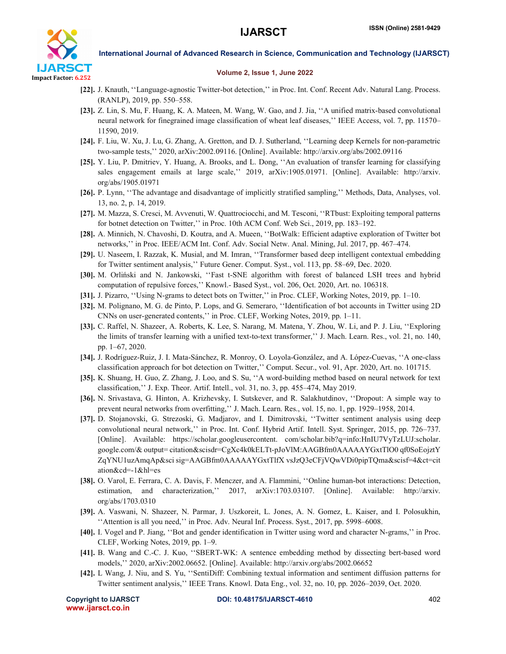

#### Volume 2, Issue 1, June 2022

- [22]. J. Knauth, ''Language-agnostic Twitter-bot detection,'' in Proc. Int. Conf. Recent Adv. Natural Lang. Process. (RANLP), 2019, pp. 550–558.
- [23]. Z. Lin, S. Mu, F. Huang, K. A. Mateen, M. Wang, W. Gao, and J. Jia, ''A unified matrix-based convolutional neural network for finegrained image classification of wheat leaf diseases,'' IEEE Access, vol. 7, pp. 11570– 11590, 2019.
- [24]. F. Liu, W. Xu, J. Lu, G. Zhang, A. Gretton, and D. J. Sutherland, ''Learning deep Kernels for non-parametric two-sample tests,'' 2020, arXiv:2002.09116. [Online]. Available: http://arxiv.org/abs/2002.09116
- [25]. Y. Liu, P. Dmitriev, Y. Huang, A. Brooks, and L. Dong, ''An evaluation of transfer learning for classifying sales engagement emails at large scale,'' 2019, arXiv:1905.01971. [Online]. Available: http://arxiv. org/abs/1905.01971
- [26]. P. Lynn, ''The advantage and disadvantage of implicitly stratified sampling,'' Methods, Data, Analyses, vol. 13, no. 2, p. 14, 2019.
- [27]. M. Mazza, S. Cresci, M. Avvenuti, W. Quattrociocchi, and M. Tesconi, ''RTbust: Exploiting temporal patterns for botnet detection on Twitter,'' in Proc. 10th ACM Conf. Web Sci., 2019, pp. 183–192.
- [28]. A. Minnich, N. Chavoshi, D. Koutra, and A. Mueen, ''BotWalk: Efficient adaptive exploration of Twitter bot networks,'' in Proc. IEEE/ACM Int. Conf. Adv. Social Netw. Anal. Mining, Jul. 2017, pp. 467–474.
- [29]. U. Naseem, I. Razzak, K. Musial, and M. Imran, ''Transformer based deep intelligent contextual embedding for Twitter sentiment analysis,'' Future Gener. Comput. Syst., vol. 113, pp. 58–69, Dec. 2020.
- [30]. M. Orliński and N. Jankowski, ''Fast t-SNE algorithm with forest of balanced LSH trees and hybrid computation of repulsive forces,'' Knowl.- Based Syst., vol. 206, Oct. 2020, Art. no. 106318.
- [31]. J. Pizarro, ''Using N-grams to detect bots on Twitter,'' in Proc. CLEF, Working Notes, 2019, pp. 1–10.
- [32]. M. Polignano, M. G. de Pinto, P. Lops, and G. Semeraro, ''Identification of bot accounts in Twitter using 2D CNNs on user-generated contents,'' in Proc. CLEF, Working Notes, 2019, pp. 1–11.
- [33]. C. Raffel, N. Shazeer, A. Roberts, K. Lee, S. Narang, M. Matena, Y. Zhou, W. Li, and P. J. Liu, ''Exploring the limits of transfer learning with a unified text-to-text transformer,'' J. Mach. Learn. Res., vol. 21, no. 140, pp. 1–67, 2020.
- [34]. J. Rodríguez-Ruiz, J. I. Mata-Sánchez, R. Monroy, O. Loyola-González, and A. López-Cuevas, ''A one-class classification approach for bot detection on Twitter,'' Comput. Secur., vol. 91, Apr. 2020, Art. no. 101715.
- [35]. K. Shuang, H. Guo, Z. Zhang, J. Loo, and S. Su, ''A word-building method based on neural network for text classification,'' J. Exp. Theor. Artif. Intell., vol. 31, no. 3, pp. 455–474, May 2019.
- [36]. N. Srivastava, G. Hinton, A. Krizhevsky, I. Sutskever, and R. Salakhutdinov, ''Dropout: A simple way to prevent neural networks from overfitting,'' J. Mach. Learn. Res., vol. 15, no. 1, pp. 1929–1958, 2014.
- [37]. D. Stojanovski, G. Strezoski, G. Madjarov, and I. Dimitrovski, ''Twitter sentiment analysis using deep convolutional neural network,'' in Proc. Int. Conf. Hybrid Artif. Intell. Syst. Springer, 2015, pp. 726–737. [Online]. Available: https://scholar.googleusercontent. com/scholar.bib?q=info:HnIU7VyTzLUJ:scholar. google.com/& output= citation&scisdr=CgXc4k0kELTt-pJoVlM:AAGBfm0AAAAAYGxtTlO0 qf0SoEojztY ZqYNU1uzAmqAp&sci sig=AAGBfm0AAAAAYGxtTlfX vsJzQ3eCFjVQwVDi0pipTQma&scisf=4&ct=cit ation&cd=-1&hl=es
- [38]. O. Varol, E. Ferrara, C. A. Davis, F. Menczer, and A. Flammini, ''Online human-bot interactions: Detection, estimation, and characterization,'' 2017, arXiv:1703.03107. [Online]. Available: http://arxiv. org/abs/1703.0310
- [39]. A. Vaswani, N. Shazeer, N. Parmar, J. Uszkoreit, L. Jones, A. N. Gomez, Ł. Kaiser, and I. Polosukhin, ''Attention is all you need,'' in Proc. Adv. Neural Inf. Process. Syst., 2017, pp. 5998–6008.
- [40]. I. Vogel and P. Jiang, ''Bot and gender identification in Twitter using word and character N-grams,'' in Proc. CLEF, Working Notes, 2019, pp. 1–9.
- [41]. B. Wang and C.-C. J. Kuo, ''SBERT-WK: A sentence embedding method by dissecting bert-based word models,'' 2020, arXiv:2002.06652. [Online]. Available: http://arxiv.org/abs/2002.06652
- [42]. L Wang, J. Niu, and S. Yu, ''SentiDiff: Combining textual information and sentiment diffusion patterns for Twitter sentiment analysis,'' IEEE Trans. Knowl. Data Eng., vol. 32, no. 10, pp. 2026–2039, Oct. 2020.